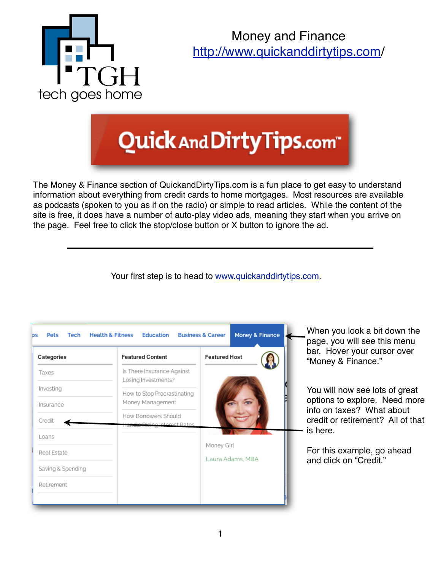

Money and Finance [http://www.quickanddirtytips.com/](http://www.quickanddirtytips.com)

## Quick And Dirty Tips.com<sup>®</sup>

The Money & Finance section of QuickandDirtyTips.com is a fun place to get easy to understand information about everything from credit cards to home mortgages. Most resources are available as podcasts (spoken to you as if on the radio) or simple to read articles. While the content of the site is free, it does have a number of auto-play video ads, meaning they start when you arrive on the page. Feel free to click the stop/close button or X button to ignore the ad.

Your first step is to head to [www.quickanddirtytips.com.](http://www.quickanddirtytips.com)

| Categories        | <b>Featured Content</b>                           | <b>Featured Host</b> |  | bar. H<br>"Money    |
|-------------------|---------------------------------------------------|----------------------|--|---------------------|
| Taxes             | Is There Insurance Against<br>Losing Investments? |                      |  |                     |
| Investing         | How to Stop Procrastinating<br>Money Management   |                      |  | You wil<br>options  |
| Insurance         | How Borrowers Should                              |                      |  | info on             |
| Credit<br>Loans   | H <del>andle Rising</del> Interest Rates          |                      |  | credit o<br>is here |
| Real Estate       |                                                   | Money Girl           |  | For this            |
| Saving & Spending |                                                   | Laura Adams, MBA     |  | and clid            |
| Retirement        |                                                   |                      |  |                     |

you look a bit down the you will see this menu over your cursor over v & Finance."

Il now see lots of great s to explore. Need more taxes? What about or retirement? All of that is here.

s example, go ahead ck on "Credit."